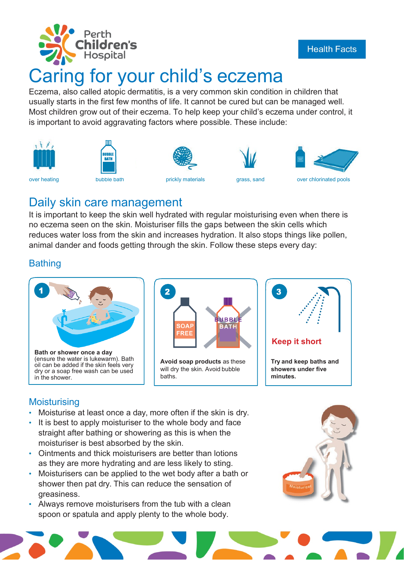

# Caring for your child's eczema

Eczema, also called atopic dermatitis, is a very common skin condition in children that usually starts in the first few months of life. It cannot be cured but can be managed well. Most children grow out of their eczema. To help keep your child's eczema under control, it is important to avoid aggravating factors where possible. These include:















### Daily skin care management

It is important to keep the skin well hydrated with regular moisturising even when there is no eczema seen on the skin. Moisturiser fills the gaps between the skin cells which reduces water loss from the skin and increases hydration. It also stops things like pollen, animal dander and foods getting through the skin. Follow these steps every day:

#### **Bathing**





**Avoid soap products** as these will dry the skin. Avoid bubble baths.



#### **Moisturising**

- Moisturise at least once a day, more often if the skin is dry.
- It is best to apply moisturiser to the whole body and face straight after bathing or showering as this is when the moisturiser is best absorbed by the skin.
- Ointments and thick moisturisers are better than lotions as they are more hydrating and are less likely to sting.
- Moisturisers can be applied to the wet body after a bath or shower then pat dry. This can reduce the sensation of greasiness.
- Always remove moisturisers from the tub with a clean spoon or spatula and apply plenty to the whole body.



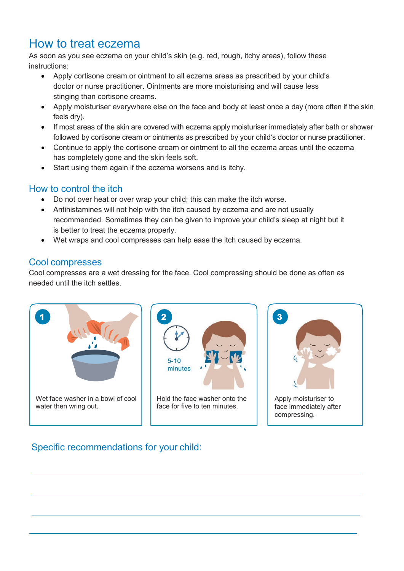## How to treat eczema

As soon as you see eczema on your child's skin (e.g. red, rough, itchy areas), follow these instructions:

- Apply cortisone cream or ointment to all eczema areas as prescribed by your child's doctor or nurse practitioner. Ointments are more moisturising and will cause less stinging than cortisone creams.
- Apply moisturiser everywhere else on the face and body at least once a day (more often if the skin feels dry).
- If most areas of the skin are covered with eczema apply moisturiser immediately after bath or shower followed by cortisone cream or ointments as prescribed by your child's doctor or nurse practitioner.
- Continue to apply the cortisone cream or ointment to all the eczema areas until the eczema has completely gone and the skin feels soft.
- Start using them again if the eczema worsens and is itchy.

#### How to control the itch

- Do not over heat or over wrap your child; this can make the itch worse.
- Antihistamines will not help with the itch caused by eczema and are not usually recommended. Sometimes they can be given to improve your child's sleep at night but it is better to treat the eczema properly.
- Wet wraps and cool compresses can help ease the itch caused by eczema.

#### Cool compresses

Cool compresses are a wet dressing for the face. Cool compressing should be done as often as needed until the itch settles.





#### Specific recommendations for your child: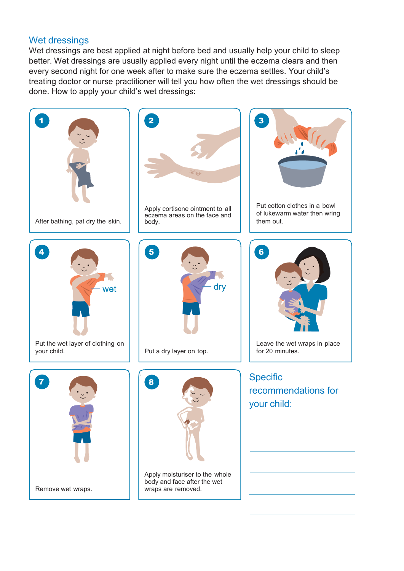#### Wet dressings

Wet dressings are best applied at night before bed and usually help your child to sleep better. Wet dressings are usually applied every night until the eczema clears and then every second night for one week after to make sure the eczema settles. Your child's treating doctor or nurse practitioner will tell you how often the wet dressings should be done. How to apply your child's wet dressings: